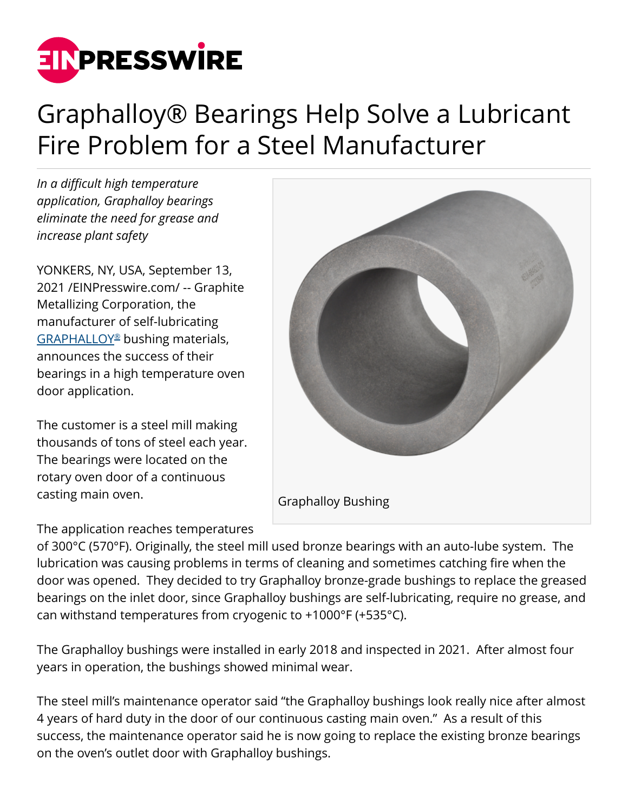

## Graphalloy® Bearings Help Solve a Lubricant Fire Problem for a Steel Manufacturer

*In a difficult high temperature application, Graphalloy bearings eliminate the need for grease and increase plant safety*

YONKERS, NY, USA, September 13, 2021 /[EINPresswire.com](http://www.einpresswire.com)/ -- Graphite Metallizing Corporation, the manufacturer of self-lubricating [GRAPHALLOY](https://graphalloy.com/html/high_temperature_bearings.html?utm_source=PR_Sep21&utm_medium=PR_Sep21&utm_campaign=PR_Sep21)[®](https://graphalloy.com/html/high_temperature_bearings.html?utm_source=PR_Sep21&utm_medium=PR_Sep21&utm_campaign=PR_Sep21) bushing materials, announces the success of their bearings in a high temperature oven door application.

The customer is a steel mill making thousands of tons of steel each year. The bearings were located on the rotary oven door of a continuous casting main oven.

The application reaches temperatures



of 300°C (570°F). Originally, the steel mill used bronze bearings with an auto-lube system. The lubrication was causing problems in terms of cleaning and sometimes catching fire when the door was opened. They decided to try Graphalloy bronze-grade bushings to replace the greased bearings on the inlet door, since Graphalloy bushings are self-lubricating, require no grease, and can withstand temperatures from cryogenic to +1000°F (+535°C).

The Graphalloy bushings were installed in early 2018 and inspected in 2021. After almost four years in operation, the bushings showed minimal wear.

The steel mill's maintenance operator said "the Graphalloy bushings look really nice after almost 4 years of hard duty in the door of our continuous casting main oven." As a result of this success, the maintenance operator said he is now going to replace the existing bronze bearings on the oven's outlet door with Graphalloy bushings.